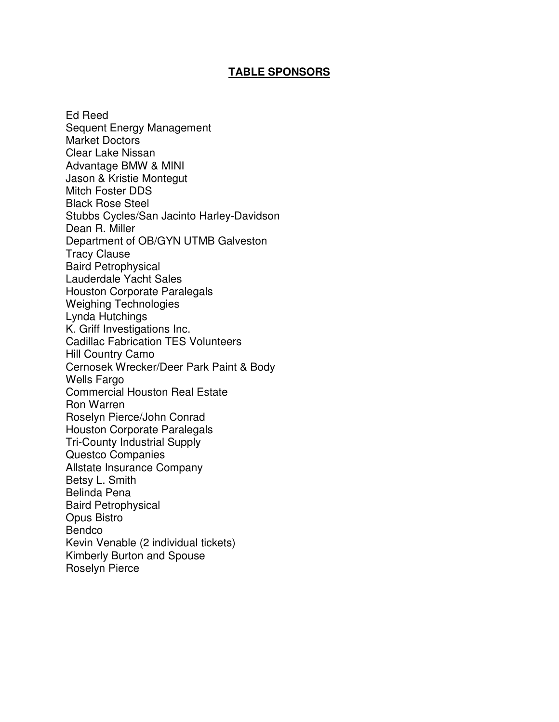#### **TABLE SPONSORS**

Ed Reed Sequent Energy Management Market Doctors Clear Lake Nissan Advantage BMW & MINI Jason & Kristie Montegut Mitch Foster DDS Black Rose Steel Stubbs Cycles/San Jacinto Harley-Davidson Dean R. Miller Department of OB/GYN UTMB Galveston Tracy Clause Baird Petrophysical Lauderdale Yacht Sales Houston Corporate Paralegals Weighing Technologies Lynda Hutchings K. Griff Investigations Inc. Cadillac Fabrication TES Volunteers Hill Country Camo Cernosek Wrecker/Deer Park Paint & Body Wells Fargo Commercial Houston Real Estate Ron Warren Roselyn Pierce/John Conrad Houston Corporate Paralegals Tri-County Industrial Supply Questco Companies Allstate Insurance Company Betsy L. Smith Belinda Pena Baird Petrophysical Opus Bistro Bendco Kevin Venable (2 individual tickets) Kimberly Burton and Spouse Roselyn Pierce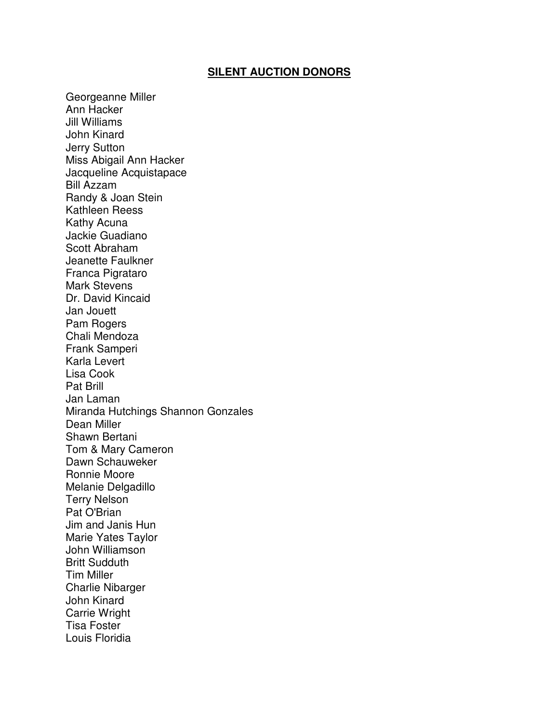#### **SILENT AUCTION DONORS**

Georgeanne Miller Ann Hacker Jill Williams John Kinard Jerry Sutton Miss Abigail Ann Hacker Jacqueline Acquistapace Bill Azzam Randy & Joan Stein Kathleen Reess Kathy Acuna Jackie Guadiano Scott Abraham Jeanette Faulkner Franca Pigrataro Mark Stevens Dr. David Kincaid Jan Jouett Pam Rogers Chali Mendoza Frank Samperi Karla Levert Lisa Cook Pat Brill Jan Laman Miranda Hutchings Shannon Gonzales Dean Miller Shawn Bertani Tom & Mary Cameron Dawn Schauweker Ronnie Moore Melanie Delgadillo Terry Nelson Pat O'Brian Jim and Janis Hun Marie Yates Taylor John Williamson Britt Sudduth Tim Miller Charlie Nibarger John Kinard Carrie Wright Tisa Foster Louis Floridia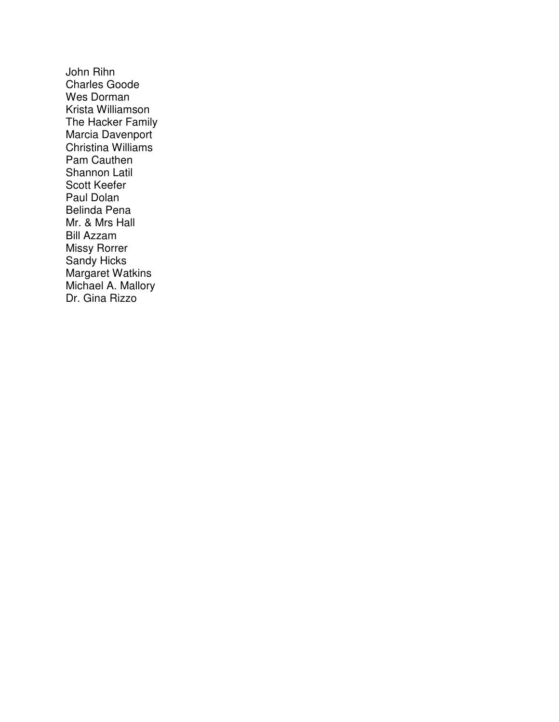John Rihn Charles Goode Wes Dorman Krista Williamson The Hacker Family Marcia Davenport Christina Williams Pam Cauthen Shannon Latil Scott Keefer Paul Dolan Belinda Pena Mr. & Mrs Hall Bill Azzam Missy Rorrer Sandy Hicks Margaret Watkins Michael A. Mallory Dr. Gina Rizzo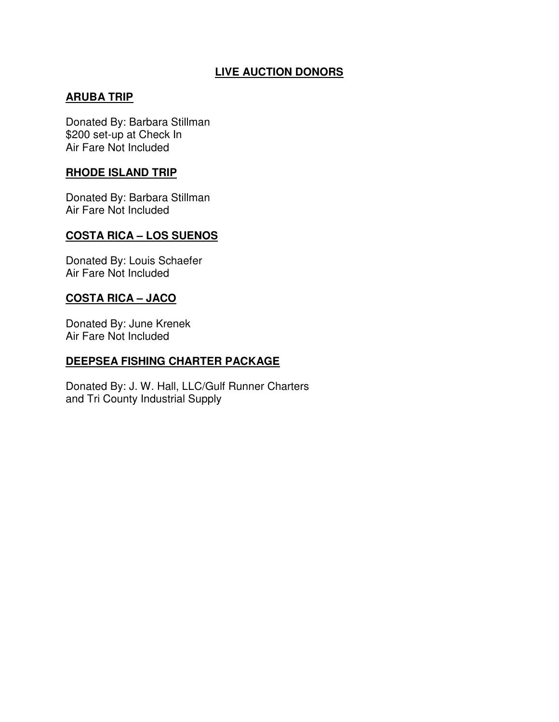# **LIVE AUCTION DONORS**

# **ARUBA TRIP**

Donated By: Barbara Stillman \$200 set-up at Check In Air Fare Not Included

#### **RHODE ISLAND TRIP**

Donated By: Barbara Stillman Air Fare Not Included

### **COSTA RICA – LOS SUENOS**

Donated By: Louis Schaefer Air Fare Not Included

### **COSTA RICA – JACO**

Donated By: June Krenek Air Fare Not Included

### **DEEPSEA FISHING CHARTER PACKAGE**

Donated By: J. W. Hall, LLC/Gulf Runner Charters and Tri County Industrial Supply